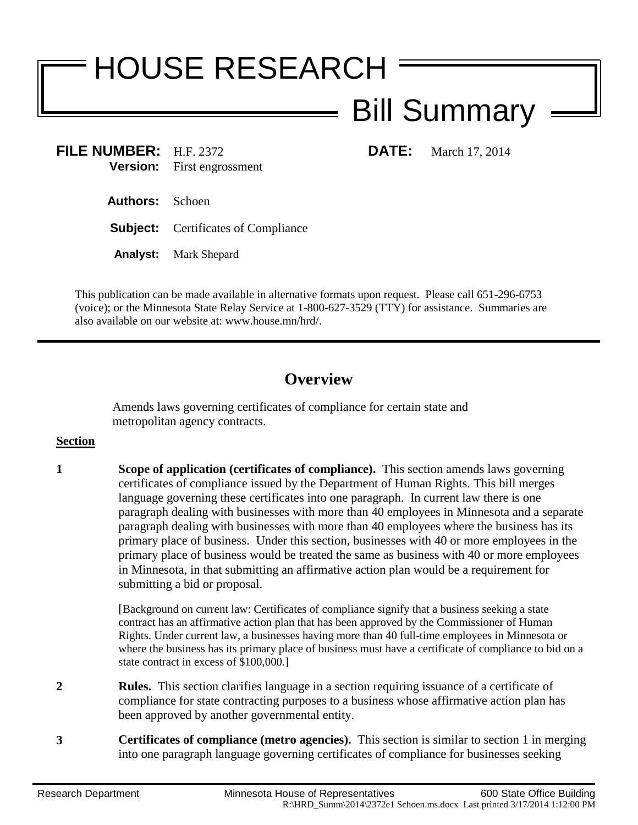# HOUSE RESEARCH

# Bill Summary

**FILE NUMBER:** H.F. 2372 **DATE:** March 17, 2014 **Version:** First engrossment

- **Authors:** Schoen
- **Subject:** Certificates of Compliance
- **Analyst:** Mark Shepard

This publication can be made available in alternative formats upon request. Please call 651-296-6753 (voice); or the Minnesota State Relay Service at 1-800-627-3529 (TTY) for assistance. Summaries are also available on our website at: www.house.mn/hrd/.

## **Overview**

Amends laws governing certificates of compliance for certain state and metropolitan agency contracts.

#### **Section**

**1 Scope of application (certificates of compliance).** This section amends laws governing certificates of compliance issued by the Department of Human Rights. This bill merges language governing these certificates into one paragraph. In current law there is one paragraph dealing with businesses with more than 40 employees in Minnesota and a separate paragraph dealing with businesses with more than 40 employees where the business has its primary place of business. Under this section, businesses with 40 or more employees in the primary place of business would be treated the same as business with 40 or more employees in Minnesota, in that submitting an affirmative action plan would be a requirement for submitting a bid or proposal.

> [Background on current law: Certificates of compliance signify that a business seeking a state contract has an affirmative action plan that has been approved by the Commissioner of Human Rights. Under current law, a businesses having more than 40 full-time employees in Minnesota or where the business has its primary place of business must have a certificate of compliance to bid on a state contract in excess of \$100,000.]

- **2 Rules.** This section clarifies language in a section requiring issuance of a certificate of compliance for state contracting purposes to a business whose affirmative action plan has been approved by another governmental entity.
- **3 Certificates of compliance (metro agencies).** This section is similar to section 1 in merging into one paragraph language governing certificates of compliance for businesses seeking